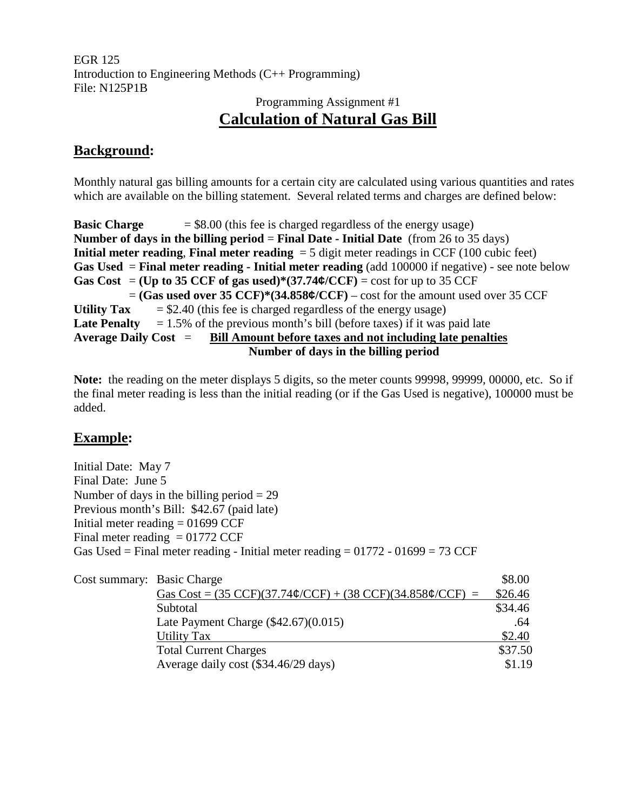EGR 125 Introduction to Engineering Methods (C++ Programming) File: N125P1B

# Programming Assignment #1 **Calculation of Natural Gas Bill**

### **Background:**

Monthly natural gas billing amounts for a certain city are calculated using various quantities and rates which are available on the billing statement. Several related terms and charges are defined below:

**Basic Charge**  $= $8.00$  (this fee is charged regardless of the energy usage) **Number of days in the billing period** = **Final Date - Initial Date** (from 26 to 35 days) **Initial meter reading, Final meter reading** = 5 digit meter readings in CCF (100 cubic feet) **Gas Used** = **Final meter reading - Initial meter reading** (add 100000 if negative) - see note below **Gas Cost** = **(Up to 35 CCF of gas used)\*(37.74¢/CCF)** = cost for up to 35 CCF = **(Gas used over 35 CCF)\*(34.858¢/CCF)** – cost for the amount used over 35 CCF Utility  $\text{Tax} = $2.40$  (this fee is charged regardless of the energy usage) **Late Penalty**  $= 1.5\%$  of the previous month's bill (before taxes) if it was paid late **Average Daily Cost** = **Bill Amount before taxes and not including late penalties Number of days in the billing period**

**Note:** the reading on the meter displays 5 digits, so the meter counts 99998, 99999, 00000, etc. So if the final meter reading is less than the initial reading (or if the Gas Used is negative), 100000 must be added.

### **Example:**

Initial Date: May 7 Final Date: June 5 Number of days in the billing period  $= 29$ Previous month's Bill: \$42.67 (paid late) Initial meter reading  $= 01699$  CCF Final meter reading  $= 01772$  CCF Gas Used = Final meter reading - Initial meter reading =  $01772 - 01699 = 73$  CCF

| Cost summary: Basic Charge |                                                                                                   | \$8.00  |
|----------------------------|---------------------------------------------------------------------------------------------------|---------|
|                            | Gas Cost = $(35 \text{ CCF})(37.74 \phi/\text{CCF}) + (38 \text{ CCF})(34.858 \phi/\text{CCF}) =$ | \$26.46 |
|                            | Subtotal                                                                                          | \$34.46 |
|                            | Late Payment Charge $(\$42.67)(0.015)$                                                            | .64     |
|                            | <b>Utility Tax</b>                                                                                | \$2.40  |
|                            | <b>Total Current Charges</b>                                                                      | \$37.50 |
|                            | Average daily cost (\$34.46/29 days)                                                              | \$1.19  |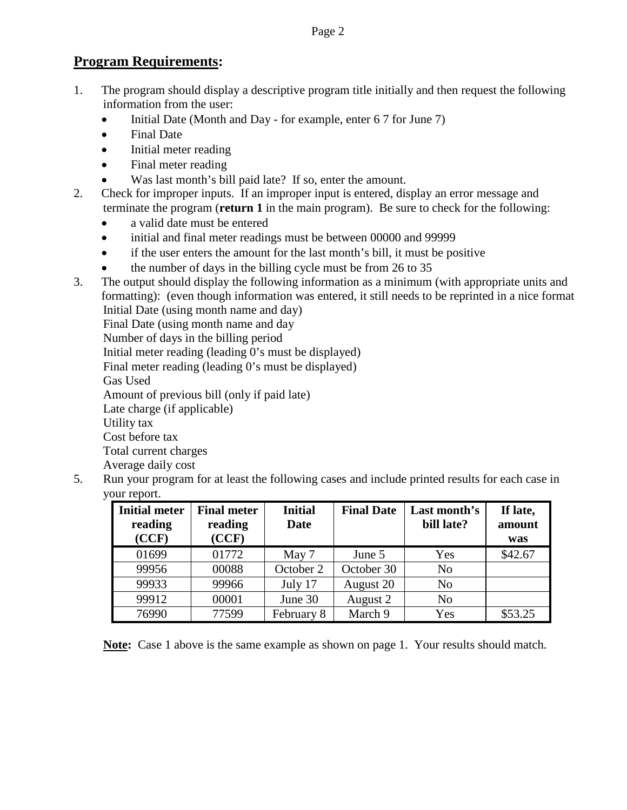### **Program Requirements:**

- 1. The program should display a descriptive program title initially and then request the following information from the user:
	- Initial Date (Month and Day for example, enter 6 7 for June 7)
	- Final Date
	- Initial meter reading
	- Final meter reading
	- Was last month's bill paid late? If so, enter the amount.
- 2. Check for improper inputs. If an improper input is entered, display an error message and terminate the program (**return 1** in the main program). Be sure to check for the following:
	- a valid date must be entered
	- initial and final meter readings must be between 00000 and 99999
	- if the user enters the amount for the last month's bill, it must be positive
	- the number of days in the billing cycle must be from 26 to 35
- 3. The output should display the following information as a minimum (with appropriate units and formatting): (even though information was entered, it still needs to be reprinted in a nice format Initial Date (using month name and day)

Final Date (using month name and day

Number of days in the billing period

Initial meter reading (leading 0's must be displayed)

Final meter reading (leading 0's must be displayed)

Gas Used

Amount of previous bill (only if paid late)

Late charge (if applicable)

Utility tax

Cost before tax

Total current charges

Average daily cost

5. Run your program for at least the following cases and include printed results for each case in your report.

| <b>Initial meter</b><br>reading | <b>Final meter</b><br>reading | <b>Initial</b><br><b>Date</b> | <b>Final Date</b> | Last month's<br>bill late? | If late,<br>amount |
|---------------------------------|-------------------------------|-------------------------------|-------------------|----------------------------|--------------------|
| (CCF)                           | (CCF)                         |                               |                   |                            | was                |
| 01699                           | 01772                         | May 7                         | June 5            | Yes                        | \$42.67            |
| 99956                           | 00088                         | October 2                     | October 30        | N <sub>0</sub>             |                    |
| 99933                           | 99966                         | July 17                       | August 20         | N <sub>o</sub>             |                    |
| 99912                           | 00001                         | June 30                       | August 2          | N <sub>o</sub>             |                    |
| 76990                           | 77599                         | February 8                    | March 9           | Yes                        | \$53.25            |

**Note:** Case 1 above is the same example as shown on page 1. Your results should match.